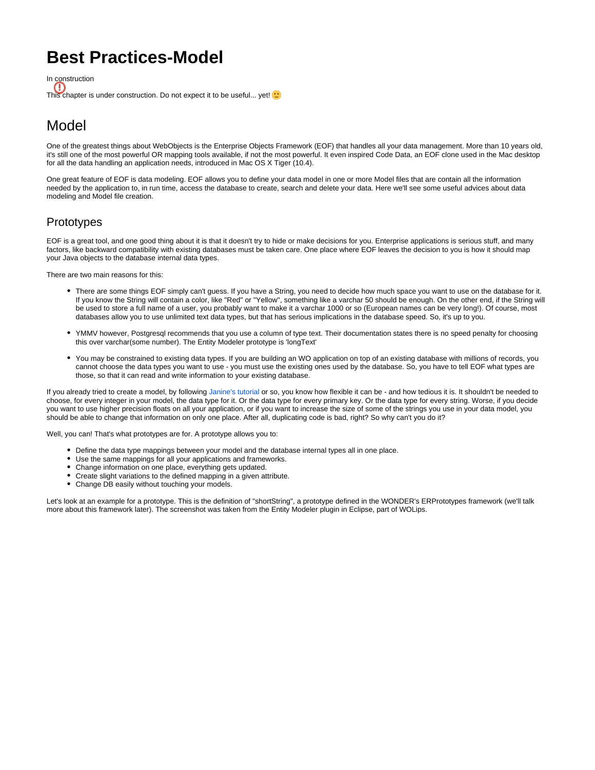## **Best Practices-Model**

In construction O This chapter is under construction. Do not expect it to be useful... yet!  $\bigcup$ 

## Model

One of the greatest things about WebObjects is the Enterprise Objects Framework (EOF) that handles all your data management. More than 10 years old, it's still one of the most powerful OR mapping tools available, if not the most powerful. It even inspired Code Data, an EOF clone used in the Mac desktop for all the data handling an application needs, introduced in Mac OS X Tiger (10.4).

One great feature of EOF is data modeling. EOF allows you to define your data model in one or more Model files that are contain all the information needed by the application to, in run time, access the database to create, search and delete your data. Here we'll see some useful advices about data modeling and Model file creation.

## **Prototypes**

EOF is a great tool, and one good thing about it is that it doesn't try to hide or make decisions for you. Enterprise applications is serious stuff, and many factors, like backward compatibility with existing databases must be taken care. One place where EOF leaves the decision to you is how it should map your Java objects to the database internal data types.

There are two main reasons for this:

- There are some things EOF simply can't guess. If you have a String, you need to decide how much space you want to use on the database for it. If you know the String will contain a color, like "Red" or "Yellow", something like a varchar 50 should be enough. On the other end, if the String will be used to store a full name of a user, you probably want to make it a varchar 1000 or so (European names can be very long!). Of course, most databases allow you to use unlimited text data types, but that has serious implications in the database speed. So, it's up to you.
- YMMV however, Postgresql recommends that you use a column of type text. Their documentation states there is no speed penalty for choosing this over varchar(some number). The Entity Modeler prototype is 'longText'
- You may be constrained to existing data types. If you are building an WO application on top of an existing database with millions of records, you cannot choose the data types you want to use - you must use the existing ones used by the database. So, you have to tell EOF what types are those, so that it can read and write information to your existing database.

If you already tried to create a model, by following [Janine's tutorial](http://web.archive.org/web/20081018141145/http://wotutorial.furfly.com/) or so, you know how flexible it can be - and how tedious it is. It shouldn't be needed to choose, for every integer in your model, the data type for it. Or the data type for every primary key. Or the data type for every string. Worse, if you decide you want to use higher precision floats on all your application, or if you want to increase the size of some of the strings you use in your data model, you should be able to change that information on only one place. After all, duplicating code is bad, right? So why can't you do it?

Well, you can! That's what prototypes are for. A prototype allows you to:

- Define the data type mappings between your model and the database internal types all in one place.
- Use the same mappings for all your applications and frameworks.
- $\bullet$ Change information on one place, everything gets updated.
- Create slight variations to the defined mapping in a given attribute.
- Change DB easily without touching your models.

Let's look at an example for a prototype. This is the definition of "shortString", a prototype defined in the WONDER's ERPrototypes framework (we'll talk more about this framework later). The screenshot was taken from the Entity Modeler plugin in Eclipse, part of WOLips.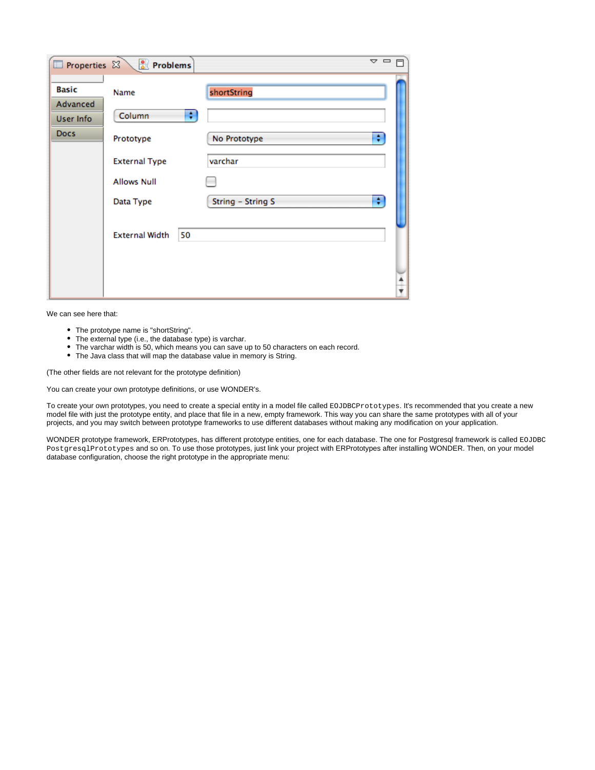| Properties &                                                | Problems                                                                                    | $\triangledown$ $\square$                                             |
|-------------------------------------------------------------|---------------------------------------------------------------------------------------------|-----------------------------------------------------------------------|
| <b>Basic</b><br><b>Advanced</b><br>User Info<br><b>Docs</b> | Name<br>Column<br>٠<br>Prototype<br><b>External Type</b><br><b>Allows Null</b><br>Data Type | shortString<br>÷<br>No Prototype<br>varchar<br>÷<br>String - String S |
|                                                             | <b>External Width</b><br>50                                                                 | ۰                                                                     |

We can see here that:

- The prototype name is "shortString".
- The external type (i.e., the database type) is varchar.
- The varchar width is 50, which means you can save up to 50 characters on each record.
- The Java class that will map the database value in memory is String.

(The other fields are not relevant for the prototype definition)

You can create your own prototype definitions, or use WONDER's.

To create your own prototypes, you need to create a special entity in a model file called EOJDBCPrototypes. It's recommended that you create a new model file with just the prototype entity, and place that file in a new, empty framework. This way you can share the same prototypes with all of your projects, and you may switch between prototype frameworks to use different databases without making any modification on your application.

WONDER prototype framework, ERPrototypes, has different prototype entities, one for each database. The one for Postgresql framework is called EOJDBC PostgresqlPrototypes and so on. To use those prototypes, just link your project with ERPrototypes after installing WONDER. Then, on your model database configuration, choose the right prototype in the appropriate menu: